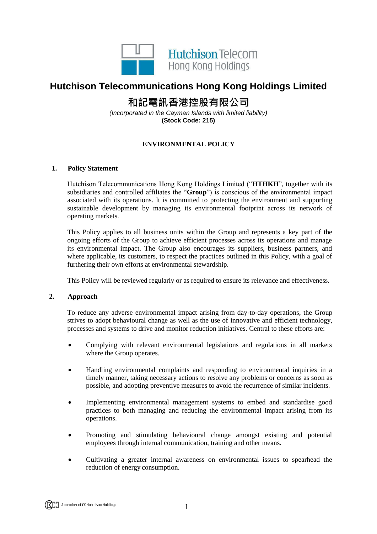

## **Hutchison Telecommunications Hong Kong Holdings Limited**

# **和記電訊香港控股有限公司**

*(Incorporated in the Cayman Islands with limited liability)* **(Stock Code: 215)**

### **ENVIRONMENTAL POLICY**

#### **1. Policy Statement**

Hutchison Telecommunications Hong Kong Holdings Limited ("**HTHKH**", together with its subsidiaries and controlled affiliates the "**Group**") is conscious of the environmental impact associated with its operations. It is committed to protecting the environment and supporting sustainable development by managing its environmental footprint across its network of operating markets.

This Policy applies to all business units within the Group and represents a key part of the ongoing efforts of the Group to achieve efficient processes across its operations and manage its environmental impact. The Group also encourages its suppliers, business partners, and where applicable, its customers, to respect the practices outlined in this Policy, with a goal of furthering their own efforts at environmental stewardship.

This Policy will be reviewed regularly or as required to ensure its relevance and effectiveness.

#### **2. Approach**

To reduce any adverse environmental impact arising from day-to-day operations, the Group strives to adopt behavioural change as well as the use of innovative and efficient technology, processes and systems to drive and monitor reduction initiatives. Central to these efforts are:

- Complying with relevant environmental legislations and regulations in all markets where the Group operates.
- Handling environmental complaints and responding to environmental inquiries in a timely manner, taking necessary actions to resolve any problems or concerns as soon as possible, and adopting preventive measures to avoid the recurrence of similar incidents.
- Implementing environmental management systems to embed and standardise good practices to both managing and reducing the environmental impact arising from its operations.
- Promoting and stimulating behavioural change amongst existing and potential employees through internal communication, training and other means.
- Cultivating a greater internal awareness on environmental issues to spearhead the reduction of energy consumption.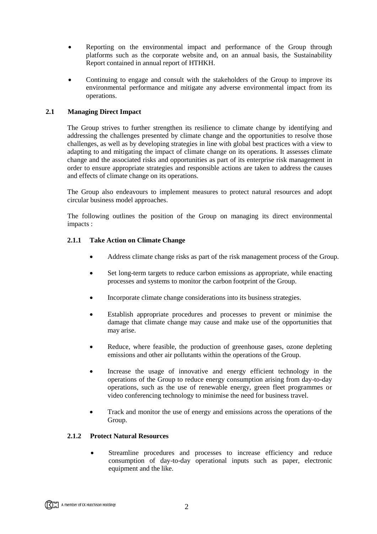- Reporting on the environmental impact and performance of the Group through platforms such as the corporate website and, on an annual basis, the Sustainability Report contained in annual report of HTHKH.
- Continuing to engage and consult with the stakeholders of the Group to improve its environmental performance and mitigate any adverse environmental impact from its operations.

#### **2.1 Managing Direct Impact**

The Group strives to further strengthen its resilience to climate change by identifying and addressing the challenges presented by climate change and the opportunities to resolve those challenges, as well as by developing strategies in line with global best practices with a view to adapting to and mitigating the impact of climate change on its operations. It assesses climate change and the associated risks and opportunities as part of its enterprise risk management in order to ensure appropriate strategies and responsible actions are taken to address the causes and effects of climate change on its operations.

The Group also endeavours to implement measures to protect natural resources and adopt circular business model approaches.

The following outlines the position of the Group on managing its direct environmental impacts :

#### **2.1.1 Take Action on Climate Change**

- Address climate change risks as part of the risk management process of the Group.
- Set long-term targets to reduce carbon emissions as appropriate, while enacting processes and systems to monitor the carbon footprint of the Group.
- Incorporate climate change considerations into its business strategies.
- Establish appropriate procedures and processes to prevent or minimise the damage that climate change may cause and make use of the opportunities that may arise.
- Reduce, where feasible, the production of greenhouse gases, ozone depleting emissions and other air pollutants within the operations of the Group.
- Increase the usage of innovative and energy efficient technology in the operations of the Group to reduce energy consumption arising from day-to-day operations, such as the use of renewable energy, green fleet programmes or video conferencing technology to minimise the need for business travel.
- Track and monitor the use of energy and emissions across the operations of the Group.

#### **2.1.2 Protect Natural Resources**

 Streamline procedures and processes to increase efficiency and reduce consumption of day-to-day operational inputs such as paper, electronic equipment and the like.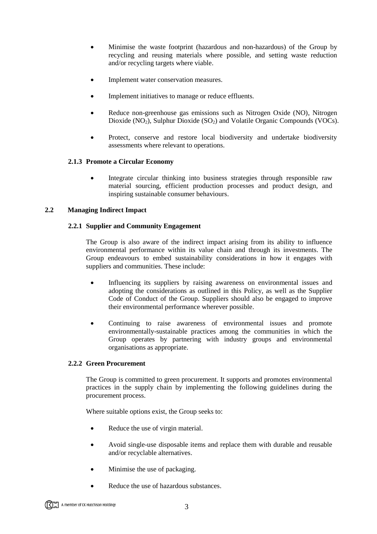- Minimise the waste footprint (hazardous and non-hazardous) of the Group by recycling and reusing materials where possible, and setting waste reduction and/or recycling targets where viable.
- Implement water conservation measures.
- Implement initiatives to manage or reduce effluents.
- Reduce non-greenhouse gas emissions such as Nitrogen Oxide (NO), Nitrogen Dioxide  $(NO<sub>2</sub>)$ , Sulphur Dioxide  $(SO<sub>2</sub>)$  and Volatile Organic Compounds (VOCs).
- Protect, conserve and restore local biodiversity and undertake biodiversity assessments where relevant to operations.

#### **2.1.3 Promote a Circular Economy**

 Integrate circular thinking into business strategies through responsible raw material sourcing, efficient production processes and product design, and inspiring sustainable consumer behaviours.

#### **2.2 Managing Indirect Impact**

#### **2.2.1 Supplier and Community Engagement**

The Group is also aware of the indirect impact arising from its ability to influence environmental performance within its value chain and through its investments. The Group endeavours to embed sustainability considerations in how it engages with suppliers and communities. These include:

- Influencing its suppliers by raising awareness on environmental issues and adopting the considerations as outlined in this Policy, as well as the Supplier Code of Conduct of the Group. Suppliers should also be engaged to improve their environmental performance wherever possible.
- Continuing to raise awareness of environmental issues and promote environmentally-sustainable practices among the communities in which the Group operates by partnering with industry groups and environmental organisations as appropriate.

#### **2.2.2 Green Procurement**

The Group is committed to green procurement. It supports and promotes environmental practices in the supply chain by implementing the following guidelines during the procurement process.

Where suitable options exist, the Group seeks to:

- Reduce the use of virgin material.
- Avoid single-use disposable items and replace them with durable and reusable and/or recyclable alternatives.
- Minimise the use of packaging.
- Reduce the use of hazardous substances.